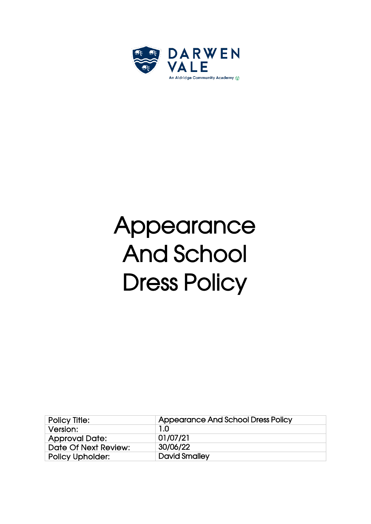

# Appearance And School Dress Policy

| <b>Policy Title:</b>    | Appearance And School Dress Policy |  |
|-------------------------|------------------------------------|--|
| Version:                | 1.0                                |  |
| <b>Approval Date:</b>   | 01/07/21                           |  |
| Date Of Next Review:    | 30/06/22                           |  |
| <b>Policy Upholder:</b> | <b>David Smalley</b>               |  |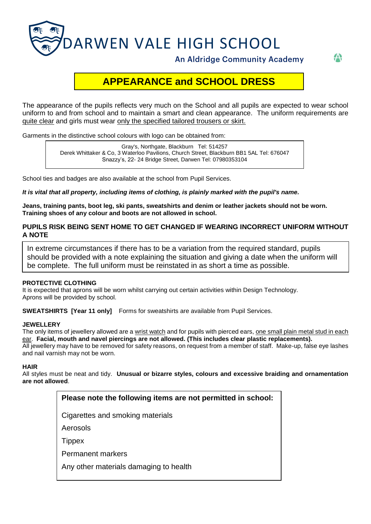

**An Aldridge Community Academy** 

AN

# **APPEARANCE and SCHOOL DRESS**

The appearance of the pupils reflects very much on the School and all pupils are expected to wear school uniform to and from school and to maintain a smart and clean appearance. The uniform requirements are quite clear and girls must wear only the specified tailored trousers or skirt.

Garments in the distinctive school colours with logo can be obtained from:

Gray's, Northgate, Blackburn Tel: 514257 Derek Whittaker & Co, 3 Waterloo Pavilions, Church Street, Blackburn BB1 5AL Tel: 676047 Snazzy's, 22- 24 Bridge Street, Darwen Tel: 07980353104

School ties and badges are also available at the school from Pupil Services.

#### *It is vital that all property, including items of clothing, is plainly marked with the pupil's name.*

**Jeans, training pants, boot leg, ski pants, sweatshirts and denim or leather jackets should not be worn. Training shoes of any colour and boots are not allowed in school.**

### **PUPILS RISK BEING SENT HOME TO GET CHANGED IF WEARING INCORRECT UNIFORM WITHOUT A NOTE**

In extreme circumstances if there has to be a variation from the required standard, pupils should be provided with a note explaining the situation and giving a date when the uniform will be complete. The full uniform must be reinstated in as short a time as possible.

#### **PROTECTIVE CLOTHING**

г

It is expected that aprons will be worn whilst carrying out certain activities within Design Technology. Aprons will be provided by school.

**SWEATSHIRTS [Year 11 only]** Forms for sweatshirts are available from Pupil Services.

#### **JEWELLERY**

The only items of jewellery allowed are a wrist watch and for pupils with pierced ears, one small plain metal stud in each ear. **Facial, mouth and navel piercings are not allowed. (This includes clear plastic replacements).** All jewellery may have to be removed for safety reasons, on request from a member of staff. Make-up, false eye lashes and nail varnish may not be worn.

#### **HAIR**

All styles must be neat and tidy. **Unusual or bizarre styles, colours and excessive braiding and ornamentation are not allowed**.

| Please note the following items are not permitted in school: |
|--------------------------------------------------------------|
| Cigarettes and smoking materials                             |
| Aerosols                                                     |
| Tippex                                                       |
| Permanent markers                                            |
| Any other materials damaging to health                       |
|                                                              |